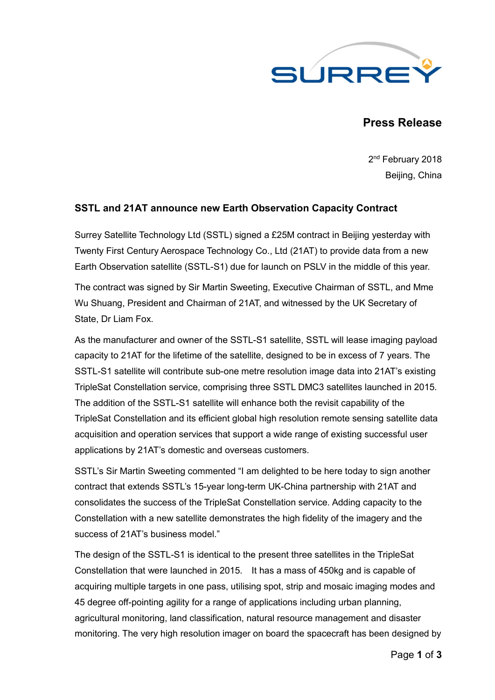

# **Press Release**

2<sup>nd</sup> February 2018 Beijing, China

## **SSTL and 21AT announce new Earth Observation Capacity Contract**

Surrey Satellite Technology Ltd (SSTL) signed a £25M contract in Beijing yesterday with Twenty First Century Aerospace Technology Co., Ltd (21AT) to provide data from a new Earth Observation satellite (SSTL-S1) due for launch on PSLV in the middle of this year.

The contract was signed by Sir Martin Sweeting, Executive Chairman of SSTL, and Mme Wu Shuang, President and Chairman of 21AT, and witnessed by the UK Secretary of State, Dr Liam Fox.

As the manufacturer and owner of the SSTL-S1 satellite, SSTL will lease imaging payload capacity to 21AT for the lifetime of the satellite, designed to be in excess of 7 years. The SSTL-S1 satellite will contribute sub-one metre resolution image data into 21AT's existing TripleSat Constellation service, comprising three SSTL DMC3 satellites launched in 2015. The addition of the SSTL-S1 satellite will enhance both the revisit capability of the TripleSat Constellation and its efficient global high resolution remote sensing satellite data acquisition and operation services that support a wide range of existing successful user applications by 21AT's domestic and overseas customers.

SSTL's Sir Martin Sweeting commented "I am delighted to be here today to sign another contract that extends SSTL's 15-year long-term UK-China partnership with 21AT and consolidates the success of the TripleSat Constellation service. Adding capacity to the Constellation with a new satellite demonstrates the high fidelity of the imagery and the success of 21AT's business model."

The design of the SSTL-S1 is identical to the present three satellites in the TripleSat Constellation that were launched in 2015. It has a mass of 450kg and is capable of acquiring multiple targets in one pass, utilising spot, strip and mosaic imaging modes and 45 degree off-pointing agility for a range of applications including urban planning, agricultural monitoring, land classification, natural resource management and disaster monitoring. The very high resolution imager on board the spacecraft has been designed by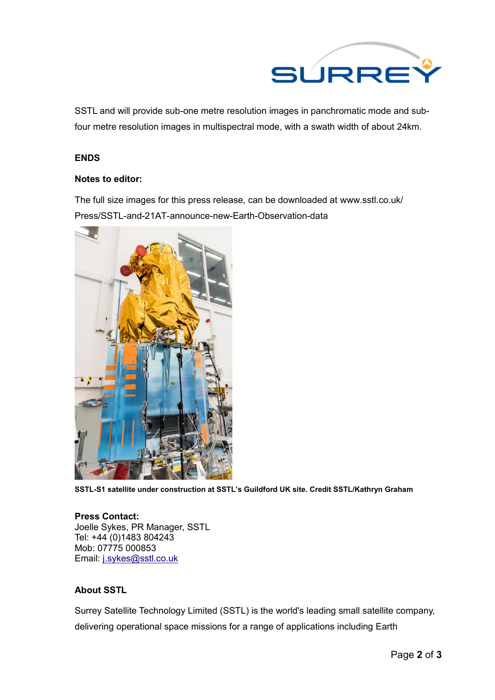

SSTL and will provide sub-one metre resolution images in panchromatic mode and subfour metre resolution images in multispectral mode, with a swath width of about 24km.

### **ENDS**

#### **Notes to editor:**

The full size images for this press release, can be downloaded at www.sstl.co.uk/ Press/SSTL-and-21AT-announce-new-Earth-Observation-data



**SSTL-S1 satellite under construction at SSTL's Guildford UK site. Credit SSTL/Kathryn Graham**

#### **Press Contact:** Joelle Sykes, PR Manager, SSTL Tel: +44 (0)1483 804243 Mob: 07775 000853 Email: j.sykes@sstl.co.uk

## **About SSTL**

Surrey Satellite Technology Limited (SSTL) is the world's leading small satellite company, delivering operational space missions for a range of applications including Earth